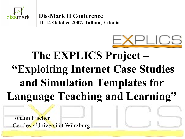

**DissMark II Conference 11-14 October 2007, Tallinn, Estonia**



### **The EXPLICS Project – "Exploiting Internet Case Studies and Simulation Templates for Language Teaching and Learning"**

Johann Fischer Cercles / Universität Würzburg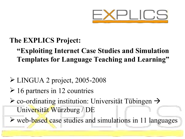

#### **The EXPLICS Project:**

### **"Exploiting Internet Case Studies and Simulation Templates for Language Teaching and Learning"**

### LINGUA 2 project, 2005-2008

- $\geq 16$  partners in 12 countries
- $\triangleright$  co-ordinating institution: Universität Tübingen  $\rightarrow$ Universität Würzburg / DE
- $\triangleright$  web-based case studies and simulations in 11 languages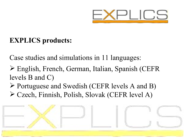

### **EXPLICS products:**

Case studies and simulations in 11 languages:

- English, French, German, Italian, Spanish (CEFR levels B and C)
- Portuguese and Swedish (CEFR levels A and B) Czech, Finnish, Polish, Slovak (CEFR level A)

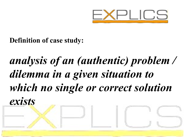

### **Definition of case study:**

# *analysis of an (authentic) problem / dilemma in a given situation to which no single or correct solution exists*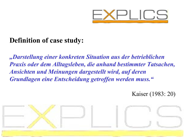

### **Definition of case study:**

*"Darstellung einer konkreten Situation aus der betrieblichen Praxis oder dem Alltagsleben, die anhand bestimmter Tatsachen, Ansichten und Meinungen dargestellt wird, auf deren Grundlagen eine Entscheidung getroffen werden muss."*

Kaiser (1983: 20)

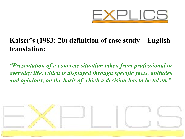

### **Kaiser's (1983: 20) definition of case study – English translation:**

*"Presentation of a concrete situation taken from professional or everyday life, which is displayed through specific facts, attitudes and opinions, on the basis of which a decision has to be taken."*

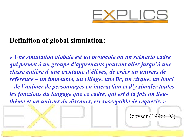

### **Definition of global simulation:**

*« Une simulation globale est un protocole ou un scénario cadre qui permet à un groupe d'apprenants pouvant aller jusqu'à une classe entière d'une trentaine d'élèves, de créer un univers de référence – un immeuble, un village, une île, un cirque, un hôtel – de l'animer de personnages en interaction et d'y simuler toutes les fonctions du langage que ce cadre, qui est à la fois un lieuthème et un univers du discours, est susceptible de requérir. »*

Debyser (1996: IV)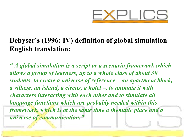

### **Debyser's (1996: IV) definition of global simulation – English translation:**

*" A global simulation is a script or a scenario framework which allows a group of learners, up to a whole class of about 30 students, to create a universe of reference – an apartment block, a village, an island, a circus, a hotel –, to animate it with characters interacting with each other and to simulate all language functions which are probably needed within this framework, which is at the same time a thematic place and a universe of communication."*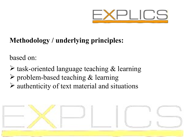

### **Methodology / underlying principles:**

based on:

 $\triangleright$  task-oriented language teaching & learning  $\triangleright$  problem-based teaching & learning  $\triangleright$  authenticity of text material and situations

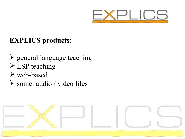

### **EXPLICS products:**

- $\triangleright$  general language teaching
- $\triangleright$  LSP teaching
- web-based
- some: audio / video files

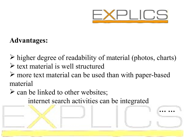

**… …** 

#### **Advantages:**

- $\triangleright$  higher degree of readability of material (photos, charts)  $\triangleright$  text material is well structured
- more text material can be used than with paper-based material
- $\triangleright$  can be linked to other websites; internet search activities can be integrated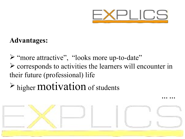

**… …** 

#### **Advantages:**

 "more attractive", "looks more up-to-date"  $\triangleright$  corresponds to activities the learners will encounter in their future (professional) life

## $\triangleright$  higher **motivation** of students

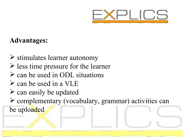

#### **Advantages:**

- $\triangleright$  stimulates learner autonomy
- $\triangleright$  less time pressure for the learner
- $\triangleright$  can be used in ODL situations
- $\triangleright$  can be used in a VLE
- $\triangleright$  can easily be updated

 complementary (vocabulary, grammar) activities can be uploaded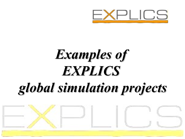

# *Examples of EXPLICS global simulation projects*

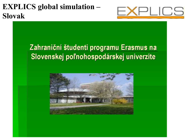### **EXPLICS global simulation – Slovak**



### Zahraniční študenti programu Erasmus na Slovenskej poľnohospodárskej univerzite

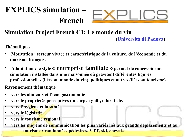### **EXPLICS simulation – French**



### **Simulation Project French C1: Le monde du vin**

**(Università di Padova)**

- **Thématiques**
- **Motivation : secteur vivace et caractéristique de la culture, de l'économie et du tourisme français.**
- **Adaptation : le style « entreprise familiale » permet de concevoir une simulation installée dans une maisonnée où gravitent différentes figures professionnelles (liées au monde du vin), politiques et autres (liées au tourisme).**

#### **Rayonnement thématique**

- **vers les aliments et l'œnogastronomie**
- **vers le propriétés perceptives du corps : goût, odorat etc.**
- **vers l'hygiène et la santé**
- **vers le législatif**
- **vers le tourisme régional**
- **vers les moyens de communication les plus variés liés aux grands déplacements et au tourisme : randonnées pédestres, VTT, ski, cheval...**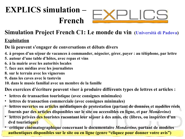### **EXPLICS simulation – French**



#### **Simulation Project French C1: Le monde du vin (Università di Padova)**

#### **Exploitation**

**De là peuvent s'engager de conversations et débats divers**

- **4. à propos d'un séjour de vacances à commander, négocier, gérer, payer : au téléphone, par lettre**
- **5. autour d'une table d'hôtes, avec repas et vins**
- **6. à la mairie avec les autorités locales**
- **7. face aux médias avec les journalistes**
- **8. sur le terrain avec les vignerons**
- **9. dans les caves avec le tastevin**
- **10. dans le musée familial avec un membre de la famille**

**Des exercices d'écriture peuvent viser à produire différents types de lettres et articles :**

- **lettres de transaction touristique (avec consignes minimales)**
- **lettres de transaction commerciale (avec consignes minimales)**
- **lettres ouvertes ou articles médiatiques de protestation (partant de données et modèles réels fournis par des articles disponibles sur le site ou accessibles en ligne, et par** *Mondovino***)**
- **lettres privées des touristes racontant leur séjour à des amis, etc (libres, ou inspirées d'un dvd touristique)**
- **critique cinématographique concernant le documentaire** *Mondovino***, partant de modèles authentiques disponibles sur le site ou en ligne (genre "cliquez pour donner votre avis")**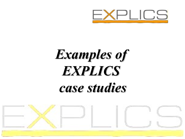

# *Examples of EXPLICS case studies*

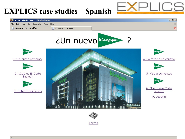### **EXPLICS case studies – Spanish**

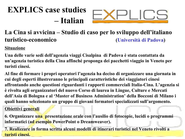### **EXPLICS case studies – Italian**



#### **La Cina si avvicina – Studio di caso per lo sviluppo dell'italiano turistico-economico (Università di Padova)**

**Situazione**

**Una delle varie sedi dell'agenzia viaggi Cisalpina di Padova è stata contattata da un'agenzia turistica della Cina affinché proponga dei pacchetti viaggio in Veneto per turisti cinesi.**

**Al fine di formare i propri operatori l'agenzia ha deciso di organizzare una giornata in cui degli esperti illustreranno le principali caratteristiche dei viaggiatori cinesi affrontando anche questioni riguardanti i rapporti commerciali Italia-Cina. L'agenzia si è rivolta agli organizzatori del nuovo Corso di laurea in Lingue, Culture e Mercati dell'Asia di Bologna e al 'Master of Business Administration' della Bocconi di Milano i quali hanno selezionato un gruppo di giovani formatori specializzati sull'argomento.**

**Obiettivi generali**

**6. Organizzare una presentazione orale con l'ausilio di fotocopie, lucidi o programmi informatici (ad esempio PowerPoint o Dreamweaver).** 

**7. Realizzare in forma scritta alcuni modelli di itinerari turistici nel Veneto rivolti a turisti cinesi.**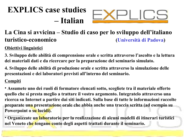### **EXPLICS case studies – Italian**



#### **La Cina si avvicina – Studio di caso per lo sviluppo dell'italiano turistico-economico (Università di Padova)**

#### **Obiettivi linguistici**

**3. Sviluppo delle abilità di comprensione orale e scritta attraverso l'ascolto e la lettura dei materiali dati e da ricercare per la preparazione del seminario simulato.** 

**4. Sviluppo delle abilità di produzione orale e scritta attraverso la simulazione delle presentazioni e dei laboratori previsti all'interno del seminario.**

#### **Compiti**

• **Assumete uno dei ruoli di formatore elencati sotto, scegliete tra il materiale offerto quello che si presta meglio a trattare il vostro argomento. Integratelo attraverso una ricerca su Internet a partire dai siti indicati. Sulla base di tutte le informazioni raccolte preparate una presentazione orale che abbia anche una traccia scritta (ad esempio su Powerpoint o su lucidi).** 

• **Organizzate un laboratorio per la realizzazione di alcuni modelli di itinerari turistici nel Veneto che tengano conto degli aspetti trattati durante il seminario.**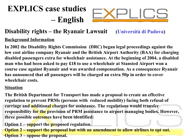

### **Disability rights – the Ryanair Lawsuit (Università di Padova)**

#### **Background Information**

**In 2002 the Disability Rights Commission (DRC) began legal proceedings against the low cost airline company Ryanair and the British Airport Authority (BAA) for charging disabled passengers extra for wheelchair assistance. At the beginning of 2004, a disabled man who had been asked to pay £18 to use a wheelchair at Stansted Airport won a course case against Ryanair and was awarded compensation. As a consequence Ryanair has announced that all passengers will be charged an extra 50p in order to cover wheelchair costs.**

#### **Situation**

**The British Department for Transport has made a proposal to create an effective regulation to prevent PRMs (persons with reduced mobility) facing both refusal of carriage and additional charges for assistance. The regulations would transfer responsibility for the provision of PRM assistance to airport managing bodies. However, three possible outcomes have been identified:**

**Option 1 – support the proposed regulation.**

**Option 2 – support the proposal but with an amendment to allow airlines to opt out. Option 3 – oppose the proposal.**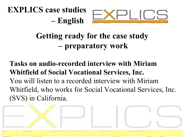



### **Getting ready for the case study – preparatory work**

### **Tasks on audio-recorded interview with Miriam Whitfield of Social Vocational Services, Inc.**  You will listen to a recorded interview with Miriam Whitfield, who works for Social Vocational Services, Inc. (SVS) in California.

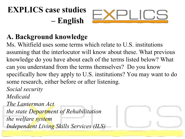

### **A. Background knowledge**

Ms. Whitfield uses some terms which relate to U.S. institutions assuming that the interlocutor will know about these. What previous knowledge do you have about each of the terms listed below? What can you understand from the terms themselves? Do you know specifically how they apply to U.S. institutions? You may want to do some research, either before or after listening. *Social security*

*Medicaid*

*The Lanterman Act the state Department of Rehabilitation the welfare system Independent Living Skills Services (ILS)*

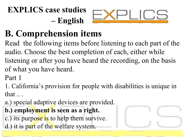

# **B. Comprehension items**

Read the following items before listening to each part of the audio. Choose the best completion of each, either while listening or after you have heard the recording, on the basis of what you have heard.

Part 1

1. California's provision for people with disabilities is unique in that ...

a.) special adaptive devices are provided.

### **b.) employment is seen as a right.**

- c.) its purpose is to help them survive.
- d.) it is part of the welfare system.

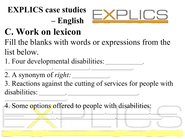

# **C. Work on lexicon**

Fill the blanks with words or expressions from the list below.

1. Four developmental disabilities:

 $\qquad \qquad , \qquad \qquad \qquad .$ 

2. A synonym of *right*:

3. Reactions against the cutting of services for people with disabilities:

 $\mathcal{L}_\text{max}$  , where  $\mathcal{L}_\text{max}$  is the set of  $\mathcal{L}_\text{max}$ 4. Some options offered to people with disabilities:  $\blacksquare$  , and the contribution of the contribution of the contribution of the contribution of the contribution of the contribution of the contribution of the contribution of the contribution of the contribution of the cont  $\frac{1}{2}$  ,  $\frac{1}{2}$  ,  $\frac{1}{2}$  ,  $\frac{1}{2}$  ,  $\frac{1}{2}$  ,  $\frac{1}{2}$  ,  $\frac{1}{2}$  ,  $\frac{1}{2}$  ,  $\frac{1}{2}$  ,  $\frac{1}{2}$  ,  $\frac{1}{2}$  ,  $\frac{1}{2}$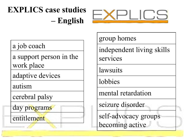

#### a job coach

a support person in the work place

adaptive devices

autism

cerebral palsy

day programs

entitlement

group homes

independent living skills services

**lawsuits** 

lobbies

mental retardation

seizure disorder

self-advocacy groups becoming active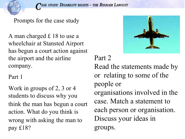

A man charged £ 18 to use a wheelchair at Stansted Airport has begun a court action against the airport and the airline company.

Part 1

Work in groups of 2, 3 or 4 students to discuss why you think the man has begun a court action. What do you think is wrong with asking the man to pay £18?



Part 2

Read the statements made by or relating to some of the people or organisations involved in the case. Match a statement to each person or organisation. Discuss your ideas in groups.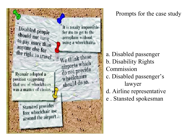

Prompts for the case study

- a. Disabled passenger b. Disability Rights Commission c. Disabled passenger's lawyer
- d. Airline representative
- e . Stansted spokesman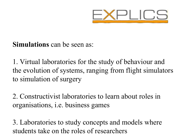

### **Simulations** can be seen as:

1. Virtual laboratories for the study of behaviour and the evolution of systems, ranging from flight simulators to simulation of surgery

2. Constructivist laboratories to learn about roles in organisations, i.e. business games

3. Laboratories to study concepts and models where students take on the roles of researchers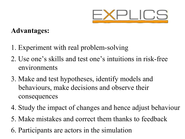

### **Advantages:**

- 1. Experiment with real problem-solving
- 2. Use one's skills and test one's intuitions in risk-free environments
- 3. Make and test hypotheses, identify models and behaviours, make decisions and observe their consequences
- 4. Study the impact of changes and hence adjust behaviour
- 5. Make mistakes and correct them thanks to feedback
- 6. Participants are actors in the simulation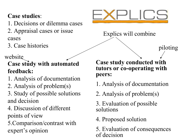### **Case studies**:

- 1. Decisions or dilemma cases
- 2. Appraisal cases or issue cases
- 3. Case histories

website

### **Case study with automated feedback:**

- 1. Analysis of documentation
- 2. Analysis of problem(s)
- 3. Study of possible solutions and decision
- 4. Discussion of different points of view
- 5.Comparison/contrast with expert's opinion



Explics will combine

piloting

**Case study conducted with tutors or co-operating with peers:**

- 1. Analysis of documentation
- 2. Analysis of problem(s)
- 3. Evaluation of possible solutions
- 4. Proposed solution
- 5. Evaluation of consequences of decision